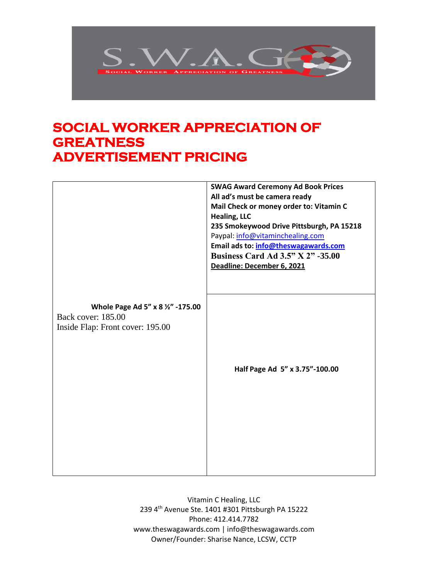

## **SOCIAL WORKER APPRECIATION OF GREATNESS ADVERTISEMENT PRICING**

|                                                         | <b>SWAG Award Ceremony Ad Book Prices</b><br>All ad's must be camera ready<br>Mail Check or money order to: Vitamin C |
|---------------------------------------------------------|-----------------------------------------------------------------------------------------------------------------------|
|                                                         | <b>Healing, LLC</b><br>235 Smokeywood Drive Pittsburgh, PA 15218                                                      |
|                                                         | Paypal: info@vitaminchealing.com<br>Email ads to: info@theswagawards.com                                              |
|                                                         | <b>Business Card Ad 3.5" X 2" -35.00</b>                                                                              |
|                                                         | Deadline: December 6, 2021                                                                                            |
|                                                         |                                                                                                                       |
|                                                         |                                                                                                                       |
| Whole Page Ad 5" x 8 1/2" -175.00<br>Back cover: 185.00 |                                                                                                                       |
| Inside Flap: Front cover: 195.00                        |                                                                                                                       |
|                                                         |                                                                                                                       |
|                                                         |                                                                                                                       |
|                                                         | Half Page Ad 5" x 3.75"-100.00                                                                                        |
|                                                         |                                                                                                                       |
|                                                         |                                                                                                                       |
|                                                         |                                                                                                                       |
|                                                         |                                                                                                                       |
|                                                         |                                                                                                                       |
|                                                         |                                                                                                                       |
|                                                         |                                                                                                                       |

Vitamin C Healing, LLC 239 4th Avenue Ste. 1401 #301 Pittsburgh PA 15222 Phone: 412.414.7782 www.theswagawards.com | info@theswagawards.com Owner/Founder: Sharise Nance, LCSW, CCTP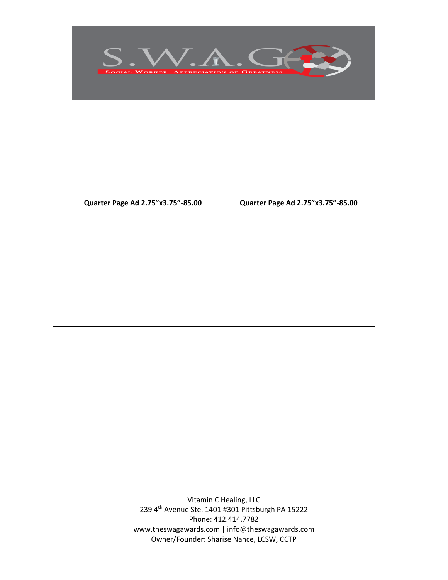

| Quarter Page Ad 2.75"x3.75"-85.00 | Quarter Page Ad 2.75"x3.75"-85.00 |
|-----------------------------------|-----------------------------------|
|                                   |                                   |
|                                   |                                   |
|                                   |                                   |

Vitamin C Healing, LLC 239 4th Avenue Ste. 1401 #301 Pittsburgh PA 15222 Phone: 412.414.7782 www.theswagawards.com | info@theswagawards.com Owner/Founder: Sharise Nance, LCSW, CCTP